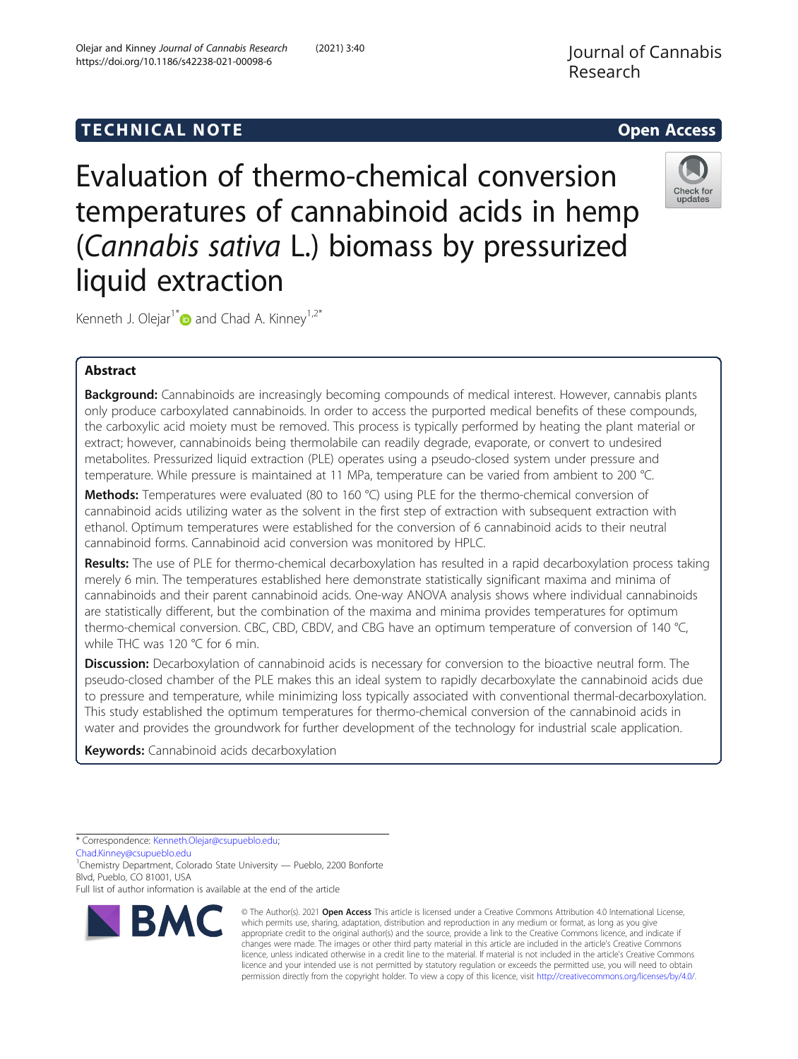# **TECHNICAL NOTE CONSIDERING A LIGACION** COPEN ACCESS

Check for update:

Evaluation of thermo-chemical conversion temperatures of cannabinoid acids in hemp (Cannabis sativa L.) biomass by pressurized liquid extraction

Kenneth J. Olejar<sup>1[\\*](http://orcid.org/0000-0001-5358-6517)</sup> and Chad A. Kinney<sup>1,2\*</sup>

# Abstract

Background: Cannabinoids are increasingly becoming compounds of medical interest. However, cannabis plants only produce carboxylated cannabinoids. In order to access the purported medical benefits of these compounds, the carboxylic acid moiety must be removed. This process is typically performed by heating the plant material or extract; however, cannabinoids being thermolabile can readily degrade, evaporate, or convert to undesired metabolites. Pressurized liquid extraction (PLE) operates using a pseudo-closed system under pressure and temperature. While pressure is maintained at 11 MPa, temperature can be varied from ambient to 200 °C.

Methods: Temperatures were evaluated (80 to 160 °C) using PLE for the thermo-chemical conversion of cannabinoid acids utilizing water as the solvent in the first step of extraction with subsequent extraction with ethanol. Optimum temperatures were established for the conversion of 6 cannabinoid acids to their neutral cannabinoid forms. Cannabinoid acid conversion was monitored by HPLC.

Results: The use of PLE for thermo-chemical decarboxylation has resulted in a rapid decarboxylation process taking merely 6 min. The temperatures established here demonstrate statistically significant maxima and minima of cannabinoids and their parent cannabinoid acids. One-way ANOVA analysis shows where individual cannabinoids are statistically different, but the combination of the maxima and minima provides temperatures for optimum thermo-chemical conversion. CBC, CBD, CBDV, and CBG have an optimum temperature of conversion of 140 °C, while THC was 120 ℃ for 6 min.

Discussion: Decarboxylation of cannabinoid acids is necessary for conversion to the bioactive neutral form. The pseudo-closed chamber of the PLE makes this an ideal system to rapidly decarboxylate the cannabinoid acids due to pressure and temperature, while minimizing loss typically associated with conventional thermal-decarboxylation. This study established the optimum temperatures for thermo-chemical conversion of the cannabinoid acids in water and provides the groundwork for further development of the technology for industrial scale application.

Keywords: Cannabinoid acids decarboxylation

[Chad.Kinney@csupueblo.edu](mailto:Chad.Kinney@csupueblo.edu)

<sup>1</sup>Chemistry Department, Colorado State University — Pueblo, 2200 Bonforte Blvd, Pueblo, CO 81001, USA

Full list of author information is available at the end of the article



© The Author(s). 2021 Open Access This article is licensed under a Creative Commons Attribution 4.0 International License, which permits use, sharing, adaptation, distribution and reproduction in any medium or format, as long as you give appropriate credit to the original author(s) and the source, provide a link to the Creative Commons licence, and indicate if changes were made. The images or other third party material in this article are included in the article's Creative Commons licence, unless indicated otherwise in a credit line to the material. If material is not included in the article's Creative Commons licence and your intended use is not permitted by statutory regulation or exceeds the permitted use, you will need to obtain permission directly from the copyright holder. To view a copy of this licence, visit [http://creativecommons.org/licenses/by/4.0/.](http://creativecommons.org/licenses/by/4.0/)

<sup>\*</sup> Correspondence: [Kenneth.Olejar@csupueblo.edu](mailto:Kenneth.Olejar@csupueblo.edu);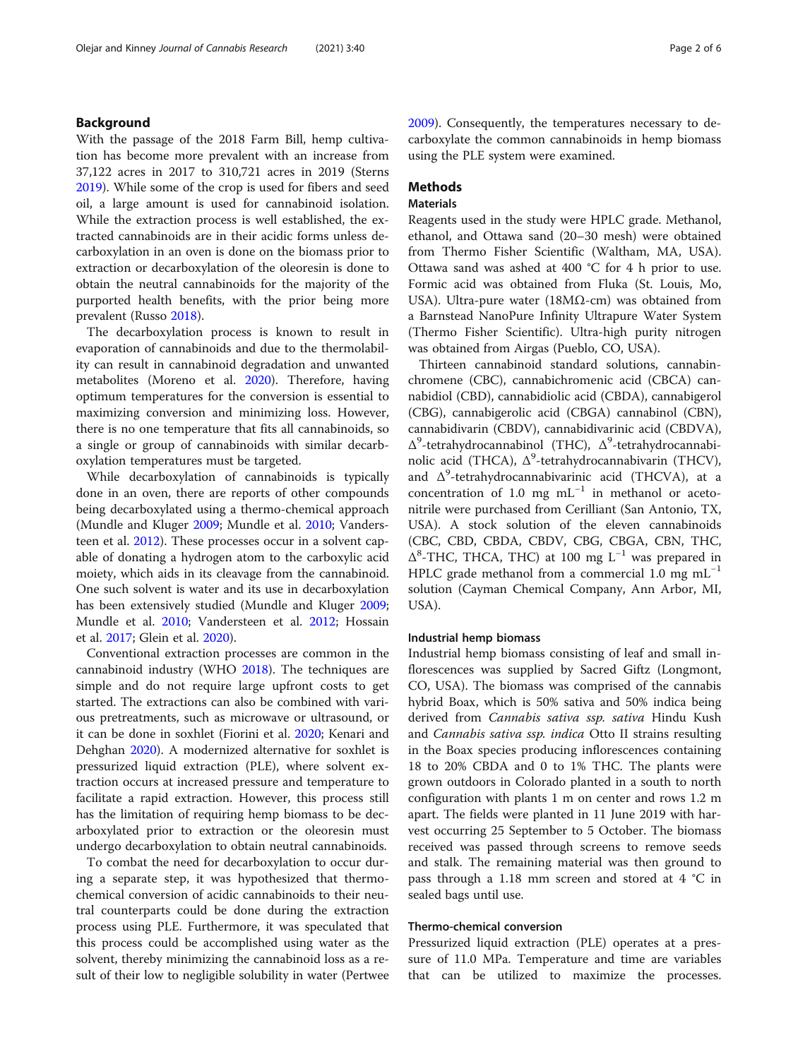# Background

With the passage of the 2018 Farm Bill, hemp cultivation has become more prevalent with an increase from 37,122 acres in 2017 to 310,721 acres in 2019 (Sterns [2019](#page-5-0)). While some of the crop is used for fibers and seed oil, a large amount is used for cannabinoid isolation. While the extraction process is well established, the extracted cannabinoids are in their acidic forms unless decarboxylation in an oven is done on the biomass prior to extraction or decarboxylation of the oleoresin is done to obtain the neutral cannabinoids for the majority of the purported health benefits, with the prior being more prevalent (Russo [2018](#page-5-0)).

The decarboxylation process is known to result in evaporation of cannabinoids and due to the thermolability can result in cannabinoid degradation and unwanted metabolites (Moreno et al. [2020](#page-5-0)). Therefore, having optimum temperatures for the conversion is essential to maximizing conversion and minimizing loss. However, there is no one temperature that fits all cannabinoids, so a single or group of cannabinoids with similar decarboxylation temperatures must be targeted.

While decarboxylation of cannabinoids is typically done in an oven, there are reports of other compounds being decarboxylated using a thermo-chemical approach (Mundle and Kluger [2009;](#page-5-0) Mundle et al. [2010;](#page-5-0) Vandersteen et al. [2012](#page-5-0)). These processes occur in a solvent capable of donating a hydrogen atom to the carboxylic acid moiety, which aids in its cleavage from the cannabinoid. One such solvent is water and its use in decarboxylation has been extensively studied (Mundle and Kluger [2009](#page-5-0); Mundle et al. [2010](#page-5-0); Vandersteen et al. [2012;](#page-5-0) Hossain et al. [2017;](#page-5-0) Glein et al. [2020](#page-4-0)).

Conventional extraction processes are common in the cannabinoid industry (WHO [2018](#page-5-0)). The techniques are simple and do not require large upfront costs to get started. The extractions can also be combined with various pretreatments, such as microwave or ultrasound, or it can be done in soxhlet (Fiorini et al. [2020;](#page-4-0) Kenari and Dehghan [2020\)](#page-5-0). A modernized alternative for soxhlet is pressurized liquid extraction (PLE), where solvent extraction occurs at increased pressure and temperature to facilitate a rapid extraction. However, this process still has the limitation of requiring hemp biomass to be decarboxylated prior to extraction or the oleoresin must undergo decarboxylation to obtain neutral cannabinoids.

To combat the need for decarboxylation to occur during a separate step, it was hypothesized that thermochemical conversion of acidic cannabinoids to their neutral counterparts could be done during the extraction process using PLE. Furthermore, it was speculated that this process could be accomplished using water as the solvent, thereby minimizing the cannabinoid loss as a result of their low to negligible solubility in water (Pertwee [2009](#page-5-0)). Consequently, the temperatures necessary to decarboxylate the common cannabinoids in hemp biomass using the PLE system were examined.

# **Methods**

#### **Materials**

Reagents used in the study were HPLC grade. Methanol, ethanol, and Ottawa sand (20–30 mesh) were obtained from Thermo Fisher Scientific (Waltham, MA, USA). Ottawa sand was ashed at 400 °C for 4 h prior to use. Formic acid was obtained from Fluka (St. Louis, Mo, USA). Ultra-pure water (18MΩ-cm) was obtained from a Barnstead NanoPure Infinity Ultrapure Water System (Thermo Fisher Scientific). Ultra-high purity nitrogen was obtained from Airgas (Pueblo, CO, USA).

Thirteen cannabinoid standard solutions, cannabinchromene (CBC), cannabichromenic acid (CBCA) cannabidiol (CBD), cannabidiolic acid (CBDA), cannabigerol (CBG), cannabigerolic acid (CBGA) cannabinol (CBN), cannabidivarin (CBDV), cannabidivarinic acid (CBDVA), Δ<sup>9</sup>-tetrahydrocannabinol (THC), Δ<sup>9</sup>-tetrahydrocannabinolic acid (THCA),  $\Delta^9$ -tetrahydrocannabivarin (THCV), and  $\Delta^9$ -tetrahydrocannabivarinic acid (THCVA), at a concentration of 1.0 mg  $mL^{-1}$  in methanol or acetonitrile were purchased from Cerilliant (San Antonio, TX, USA). A stock solution of the eleven cannabinoids (CBC, CBD, CBDA, CBDV, CBG, CBGA, CBN, THC, Δ8 -THC, THCA, THC) at 100 mg L−<sup>1</sup> was prepared in HPLC grade methanol from a commercial 1.0 mg mL<sup>-1</sup> solution (Cayman Chemical Company, Ann Arbor, MI, USA).

#### Industrial hemp biomass

Industrial hemp biomass consisting of leaf and small inflorescences was supplied by Sacred Giftz (Longmont, CO, USA). The biomass was comprised of the cannabis hybrid Boax, which is 50% sativa and 50% indica being derived from Cannabis sativa ssp. sativa Hindu Kush and Cannabis sativa ssp. indica Otto II strains resulting in the Boax species producing inflorescences containing 18 to 20% CBDA and 0 to 1% THC. The plants were grown outdoors in Colorado planted in a south to north configuration with plants 1 m on center and rows 1.2 m apart. The fields were planted in 11 June 2019 with harvest occurring 25 September to 5 October. The biomass received was passed through screens to remove seeds and stalk. The remaining material was then ground to pass through a 1.18 mm screen and stored at 4 °C in sealed bags until use.

#### Thermo-chemical conversion

Pressurized liquid extraction (PLE) operates at a pressure of 11.0 MPa. Temperature and time are variables that can be utilized to maximize the processes.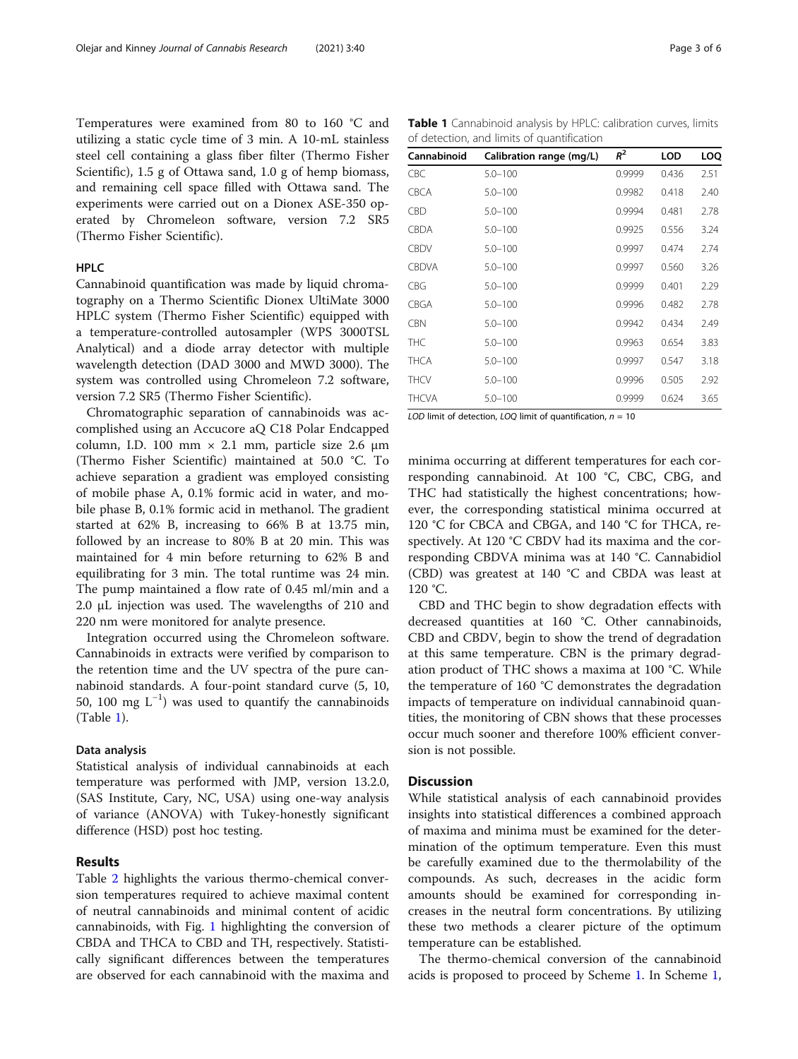Temperatures were examined from 80 to 160 °C and utilizing a static cycle time of 3 min. A 10-mL stainless steel cell containing a glass fiber filter (Thermo Fisher Scientific), 1.5 g of Ottawa sand, 1.0 g of hemp biomass, and remaining cell space filled with Ottawa sand. The experiments were carried out on a Dionex ASE-350 operated by Chromeleon software, version 7.2 SR5 (Thermo Fisher Scientific).

# HPLC

Cannabinoid quantification was made by liquid chromatography on a Thermo Scientific Dionex UltiMate 3000 HPLC system (Thermo Fisher Scientific) equipped with a temperature-controlled autosampler (WPS 3000TSL Analytical) and a diode array detector with multiple wavelength detection (DAD 3000 and MWD 3000). The system was controlled using Chromeleon 7.2 software, version 7.2 SR5 (Thermo Fisher Scientific).

Chromatographic separation of cannabinoids was accomplished using an Accucore aQ C18 Polar Endcapped column, I.D. 100 mm  $\times$  2.1 mm, particle size 2.6  $\mu$ m (Thermo Fisher Scientific) maintained at 50.0 °C. To achieve separation a gradient was employed consisting of mobile phase A, 0.1% formic acid in water, and mobile phase B, 0.1% formic acid in methanol. The gradient started at 62% B, increasing to 66% B at 13.75 min, followed by an increase to 80% B at 20 min. This was maintained for 4 min before returning to 62% B and equilibrating for 3 min. The total runtime was 24 min. The pump maintained a flow rate of 0.45 ml/min and a 2.0 μL injection was used. The wavelengths of 210 and 220 nm were monitored for analyte presence.

Integration occurred using the Chromeleon software. Cannabinoids in extracts were verified by comparison to the retention time and the UV spectra of the pure cannabinoid standards. A four-point standard curve (5, 10, 50, 100 mg  $L^{-1}$ ) was used to quantify the cannabinoids (Table 1).

#### Data analysis

Statistical analysis of individual cannabinoids at each temperature was performed with JMP, version 13.2.0, (SAS Institute, Cary, NC, USA) using one-way analysis of variance (ANOVA) with Tukey-honestly significant difference (HSD) post hoc testing.

# Results

Table [2](#page-3-0) highlights the various thermo-chemical conversion temperatures required to achieve maximal content of neutral cannabinoids and minimal content of acidic cannabinoids, with Fig. [1](#page-3-0) highlighting the conversion of CBDA and THCA to CBD and TH, respectively. Statistically significant differences between the temperatures are observed for each cannabinoid with the maxima and

Table 1 Cannabinoid analysis by HPLC: calibration curves, limits of detection, and limits of quantification

| Cannabinoid  | Calibration range (mg/L) | $R^2$  | <b>LOD</b> | LOQ  |
|--------------|--------------------------|--------|------------|------|
| <b>CBC</b>   | $5.0 - 100$              | 0.9999 | 0.436      | 2.51 |
| <b>CBCA</b>  | $5.0 - 100$              | 0.9982 | 0.418      | 2.40 |
| <b>CBD</b>   | $5.0 - 100$              | 0.9994 | 0.481      | 2.78 |
| <b>CBDA</b>  | $5.0 - 100$              | 0.9925 | 0.556      | 3.24 |
| <b>CBDV</b>  | $5.0 - 100$              | 0.9997 | 0.474      | 2.74 |
| <b>CBDVA</b> | $5.0 - 100$              | 0.9997 | 0.560      | 3.26 |
| <b>CBG</b>   | $5.0 - 100$              | 0.9999 | 0.401      | 2.29 |
| CBGA         | $5.0 - 100$              | 0.9996 | 0.482      | 2.78 |
| <b>CBN</b>   | $5.0 - 100$              | 0.9942 | 0.434      | 2.49 |
| <b>THC</b>   | $5.0 - 100$              | 0.9963 | 0.654      | 3.83 |
| <b>THCA</b>  | $5.0 - 100$              | 0.9997 | 0.547      | 3.18 |
| <b>THCV</b>  | $5.0 - 100$              | 0.9996 | 0.505      | 2.92 |
| <b>THCVA</b> | $5.0 - 100$              | 0.9999 | 0.624      | 3.65 |

LOD limit of detection, LOQ limit of quantification,  $n = 10$ 

minima occurring at different temperatures for each corresponding cannabinoid. At 100 °C, CBC, CBG, and THC had statistically the highest concentrations; however, the corresponding statistical minima occurred at 120 °C for CBCA and CBGA, and 140 °C for THCA, respectively. At 120 °C CBDV had its maxima and the corresponding CBDVA minima was at 140 °C. Cannabidiol (CBD) was greatest at 140 °C and CBDA was least at 120 °C.

CBD and THC begin to show degradation effects with decreased quantities at 160 °C. Other cannabinoids, CBD and CBDV, begin to show the trend of degradation at this same temperature. CBN is the primary degradation product of THC shows a maxima at 100 °C. While the temperature of 160 °C demonstrates the degradation impacts of temperature on individual cannabinoid quantities, the monitoring of CBN shows that these processes occur much sooner and therefore 100% efficient conversion is not possible.

#### **Discussion**

While statistical analysis of each cannabinoid provides insights into statistical differences a combined approach of maxima and minima must be examined for the determination of the optimum temperature. Even this must be carefully examined due to the thermolability of the compounds. As such, decreases in the acidic form amounts should be examined for corresponding increases in the neutral form concentrations. By utilizing these two methods a clearer picture of the optimum temperature can be established.

The thermo-chemical conversion of the cannabinoid acids is proposed to proceed by Scheme [1](#page-4-0). In Scheme [1](#page-4-0),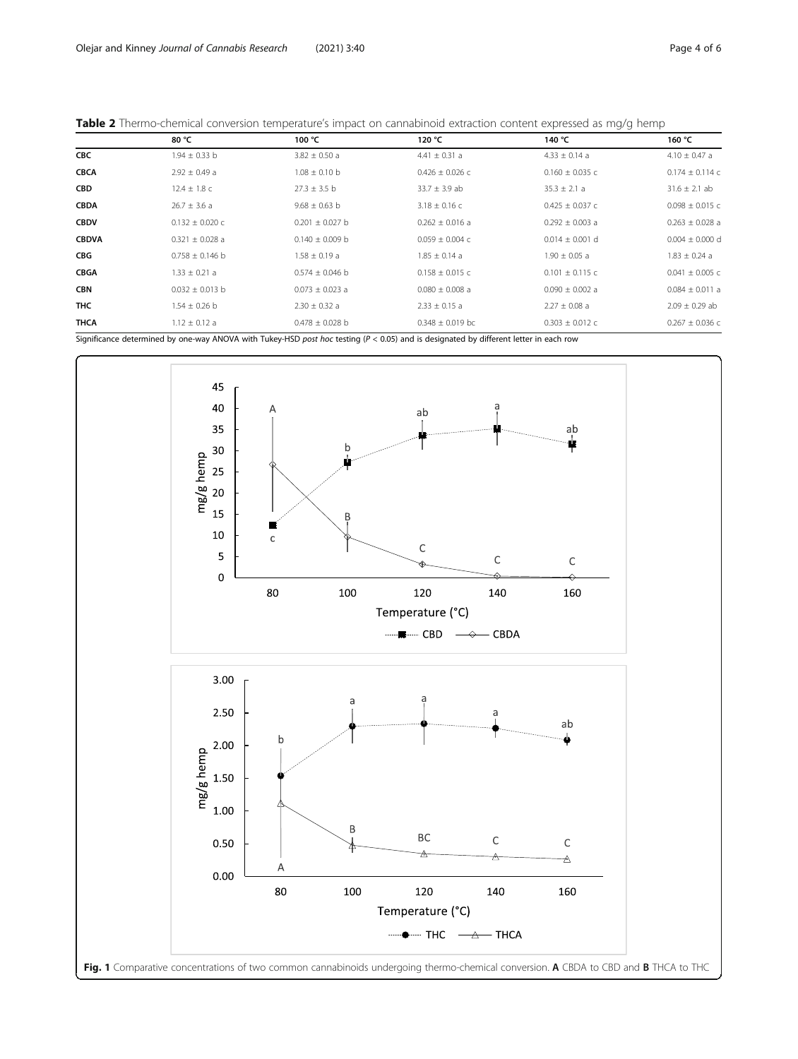<span id="page-3-0"></span>

|  |  |  | <b>Table 2</b> Thermo-chemical conversion temperature's impact on cannabinoid extraction content expressed as mg/g hemp |
|--|--|--|-------------------------------------------------------------------------------------------------------------------------|
|  |  |  |                                                                                                                         |

|              | 80 °C               | 100 °C              | 120 °C                                                                                                                                  | 140 °C              | 160 °C              |
|--------------|---------------------|---------------------|-----------------------------------------------------------------------------------------------------------------------------------------|---------------------|---------------------|
| <b>CBC</b>   | $1.94 \pm 0.33$ b   | $3.82 \pm 0.50$ a   | $4.41 \pm 0.31$ a                                                                                                                       | $4.33 \pm 0.14$ a   | $4.10 \pm 0.47$ a   |
| <b>CBCA</b>  | $2.92 \pm 0.49$ a   | $1.08 \pm 0.10$ b   | $0.426 \pm 0.026$ c                                                                                                                     | $0.160 \pm 0.035$ c | $0.174 \pm 0.114$ c |
| <b>CBD</b>   | $12.4 \pm 1.8$ C    | $27.3 \pm 3.5$ b    | $33.7 \pm 3.9$ ab                                                                                                                       | $35.3 \pm 2.1 a$    | $31.6 \pm 2.1$ ab   |
| <b>CBDA</b>  | $26.7 \pm 3.6$ a    | $9.68 \pm 0.63$ b   | $3.18 \pm 0.16$ C                                                                                                                       | $0.425 \pm 0.037$ c | $0.098 \pm 0.015$ c |
| <b>CBDV</b>  | $0.132 \pm 0.020$ c | $0.201 \pm 0.027$ b | $0.262 \pm 0.016$ a                                                                                                                     | $0.292 \pm 0.003$ a | $0.263 \pm 0.028$ a |
| <b>CBDVA</b> | $0.321 \pm 0.028$ a | $0.140 \pm 0.009$ b | $0.059 \pm 0.004$ c                                                                                                                     | $0.014 \pm 0.001$ d | $0.004 \pm 0.000$ d |
| <b>CBG</b>   | $0.758 \pm 0.146$ b | $1.58 \pm 0.19$ a   | $1.85 \pm 0.14$ a                                                                                                                       | $1.90 \pm 0.05$ a   | $1.83 \pm 0.24$ a   |
| <b>CBGA</b>  | $1.33 \pm 0.21$ a   | $0.574 \pm 0.046$ b | $0.158 \pm 0.015$ c                                                                                                                     | $0.101 \pm 0.115$ c | $0.041 \pm 0.005$ c |
| <b>CBN</b>   | $0.032 \pm 0.013$ b | $0.073 \pm 0.023$ a | $0.080 \pm 0.008$ a                                                                                                                     | $0.090 \pm 0.002$ a | $0.084 \pm 0.011$ a |
| <b>THC</b>   | $1.54 \pm 0.26$ b   | $2.30 \pm 0.32$ a   | $2.33 \pm 0.15$ a                                                                                                                       | $2.27 \pm 0.08$ a   | $2.09 \pm 0.29$ ab  |
| THCA         | $1.12 \pm 0.12$ a   | $0.478 \pm 0.028$ b | $0.348 \pm 0.019$ bc                                                                                                                    | $0.303 \pm 0.012$ c | $0.267 \pm 0.036$ C |
|              |                     |                     | Significance determined by one-way ANOVA with Tukey-HSD post hoc testing $(P < 0.05)$ and is designated by different letter in each row |                     |                     |

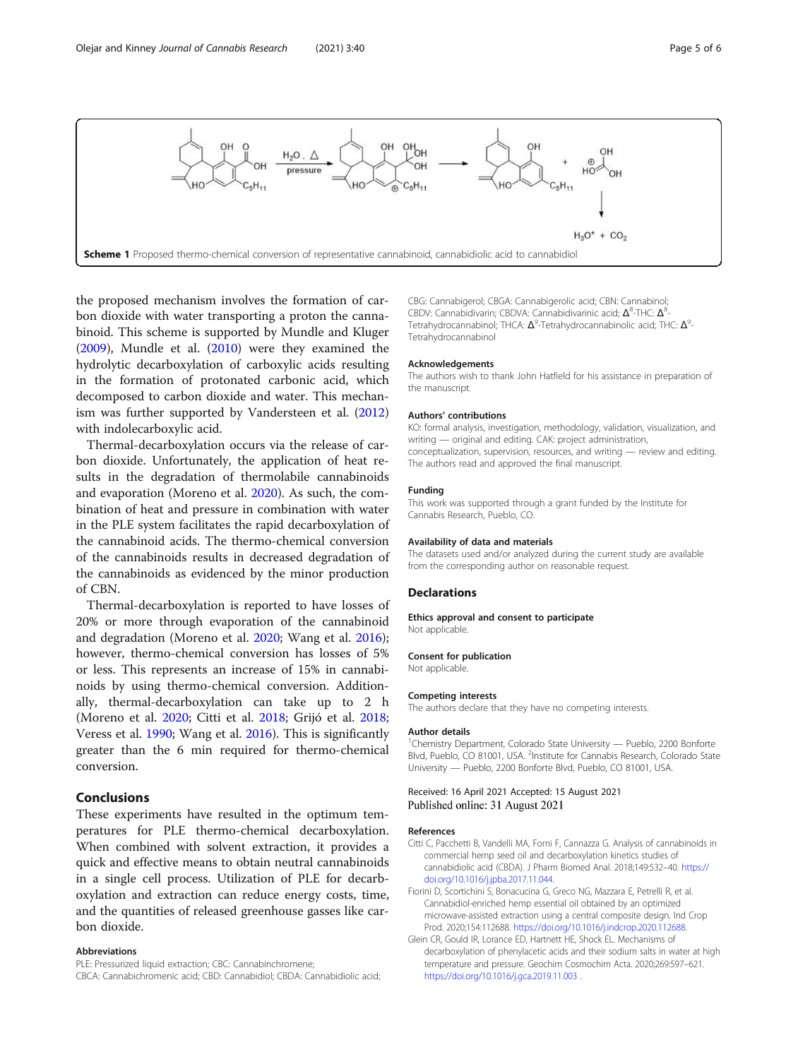<span id="page-4-0"></span>

the proposed mechanism involves the formation of carbon dioxide with water transporting a proton the cannabinoid. This scheme is supported by Mundle and Kluger ([2009](#page-5-0)), Mundle et al. ([2010](#page-5-0)) were they examined the hydrolytic decarboxylation of carboxylic acids resulting in the formation of protonated carbonic acid, which decomposed to carbon dioxide and water. This mechanism was further supported by Vandersteen et al. ([2012](#page-5-0)) with indolecarboxylic acid.

Thermal-decarboxylation occurs via the release of carbon dioxide. Unfortunately, the application of heat results in the degradation of thermolabile cannabinoids and evaporation (Moreno et al. [2020](#page-5-0)). As such, the combination of heat and pressure in combination with water in the PLE system facilitates the rapid decarboxylation of the cannabinoid acids. The thermo-chemical conversion of the cannabinoids results in decreased degradation of the cannabinoids as evidenced by the minor production of CBN.

Thermal-decarboxylation is reported to have losses of 20% or more through evaporation of the cannabinoid and degradation (Moreno et al. [2020;](#page-5-0) Wang et al. [2016](#page-5-0)); however, thermo-chemical conversion has losses of 5% or less. This represents an increase of 15% in cannabinoids by using thermo-chemical conversion. Additionally, thermal-decarboxylation can take up to 2 h (Moreno et al. [2020;](#page-5-0) Citti et al. 2018; Grijó et al. [2018](#page-5-0); Veress et al. [1990;](#page-5-0) Wang et al. [2016](#page-5-0)). This is significantly greater than the 6 min required for thermo-chemical conversion.

### Conclusions

These experiments have resulted in the optimum temperatures for PLE thermo-chemical decarboxylation. When combined with solvent extraction, it provides a quick and effective means to obtain neutral cannabinoids in a single cell process. Utilization of PLE for decarboxylation and extraction can reduce energy costs, time, and the quantities of released greenhouse gasses like carbon dioxide.

#### Abbreviations

PLE: Pressurized liquid extraction; CBC: Cannabinchromene;

CBCA: Cannabichromenic acid; CBD: Cannabidiol; CBDA: Cannabidiolic acid;

CBG: Cannabigerol; CBGA: Cannabigerolic acid; CBN: Cannabinol; CBDV: Cannabidivarin; CBDVA: Cannabidivarinic acid; Δ<sup>8</sup>-THC: Δ<sup>8</sup>-Tetrahydrocannabinol; THCA:  $\Delta^9$ -Tetrahydrocannabinolic acid; THC:  $\Delta^9$ -Tetrahydrocannabinol

#### Acknowledgements

The authors wish to thank John Hatfield for his assistance in preparation of the manuscript.

#### Authors' contributions

KO: formal analysis, investigation, methodology, validation, visualization, and writing — original and editing. CAK: project administration, conceptualization, supervision, resources, and writing — review and editing. The authors read and approved the final manuscript.

#### Funding

This work was supported through a grant funded by the Institute for Cannabis Research, Pueblo, CO.

#### Availability of data and materials

The datasets used and/or analyzed during the current study are available from the corresponding author on reasonable request.

#### **Declarations**

Ethics approval and consent to participate Not applicable.

#### Consent for publication

Not applicable.

#### Competing interests

The authors declare that they have no competing interests.

#### Author details

<sup>1</sup>Chemistry Department, Colorado State University — Pueblo, 2200 Bonforte Blvd, Pueblo, CO 81001, USA. <sup>2</sup>Institute for Cannabis Research, Colorado State University — Pueblo, 2200 Bonforte Blvd, Pueblo, CO 81001, USA.

#### Received: 16 April 2021 Accepted: 15 August 2021 Published online: 31 August 2021

#### References

- Citti C, Pacchetti B, Vandelli MA, Forni F, Cannazza G. Analysis of cannabinoids in commercial hemp seed oil and decarboxylation kinetics studies of cannabidiolic acid (CBDA). J Pharm Biomed Anal. 2018;149:532–40. [https://](https://doi.org/10.1016/j.jpba.2017.11.044) [doi.org/10.1016/j.jpba.2017.11.044.](https://doi.org/10.1016/j.jpba.2017.11.044)
- Fiorini D, Scortichini S, Bonacucina G, Greco NG, Mazzara E, Petrelli R, et al. Cannabidiol-enriched hemp essential oil obtained by an optimized microwave-assisted extraction using a central composite design. Ind Crop Prod. 2020;154:112688. [https://doi.org/10.1016/j.indcrop.2020.112688.](https://doi.org/10.1016/j.indcrop.2020.112688)
- Glein CR, Gould IR, Lorance ED, Hartnett HE, Shock EL. Mechanisms of decarboxylation of phenylacetic acids and their sodium salts in water at high temperature and pressure. Geochim Cosmochim Acta. 2020;269:597–621. <https://doi.org/10.1016/j.gca.2019.11.003> .